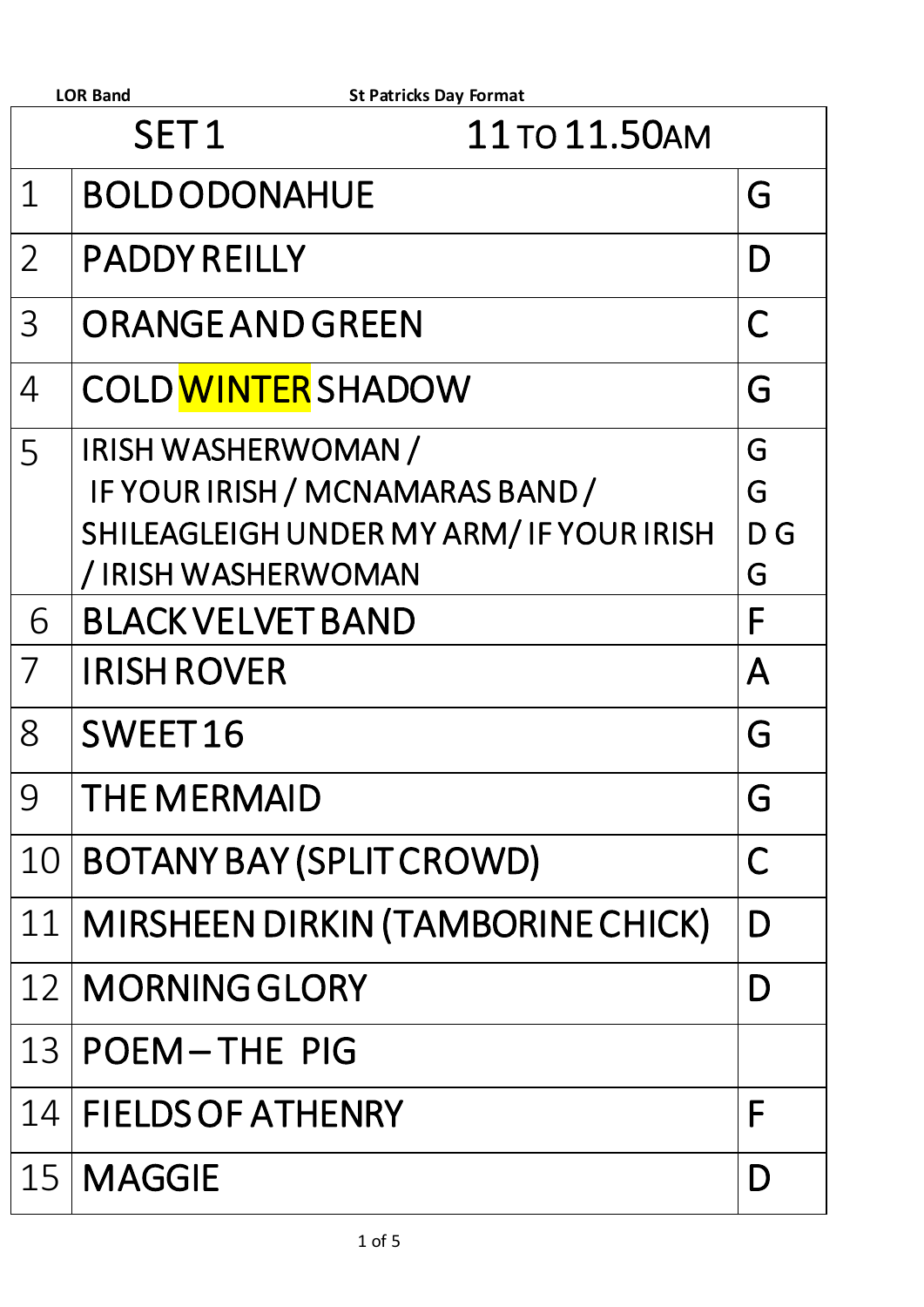|                                   | <b>LOR Band</b><br><b>St Patricks Day Format</b>                                                                         |                    |  |  |  |
|-----------------------------------|--------------------------------------------------------------------------------------------------------------------------|--------------------|--|--|--|
| SET <sub>1</sub><br>11 TO 11.50AM |                                                                                                                          |                    |  |  |  |
| 1                                 | <b>BOLD ODONAHUE</b>                                                                                                     | G                  |  |  |  |
| $\overline{2}$                    | <b>PADDY REILLY</b>                                                                                                      | D                  |  |  |  |
| 3                                 | <b>ORANGE AND GREEN</b>                                                                                                  |                    |  |  |  |
| 4                                 | <b>COLD WINTER SHADOW</b>                                                                                                | G                  |  |  |  |
| 5                                 | IRISH WASHERWOMAN /<br>IF YOUR IRISH / MCNAMARAS BAND /<br>SHILEAGLEIGH UNDER MY ARM/IF YOUR IRISH<br>/IRISH WASHERWOMAN | G<br>G<br>D G<br>G |  |  |  |
| 6                                 | <b>BLACK VELVET BAND</b>                                                                                                 | F                  |  |  |  |
| 7                                 | <b>IRISH ROVER</b>                                                                                                       | Α                  |  |  |  |
| 8                                 | SWEET16                                                                                                                  | G                  |  |  |  |
| 9                                 | <b>THE MERMAID</b>                                                                                                       | G                  |  |  |  |
| 10                                | <b>BOTANY BAY (SPLIT CROWD)</b>                                                                                          | C                  |  |  |  |
| 11                                | MIRSHEEN DIRKIN (TAMBORINE CHICK)                                                                                        | D                  |  |  |  |
| 12 <sub>1</sub>                   | <b>MORNING GLORY</b>                                                                                                     | D                  |  |  |  |
| 13                                | <b>POEM-THE PIG</b>                                                                                                      |                    |  |  |  |
| 14                                | <b>FIELDS OF ATHENRY</b>                                                                                                 | F                  |  |  |  |
| 15                                | <b>MAGGIE</b>                                                                                                            | D                  |  |  |  |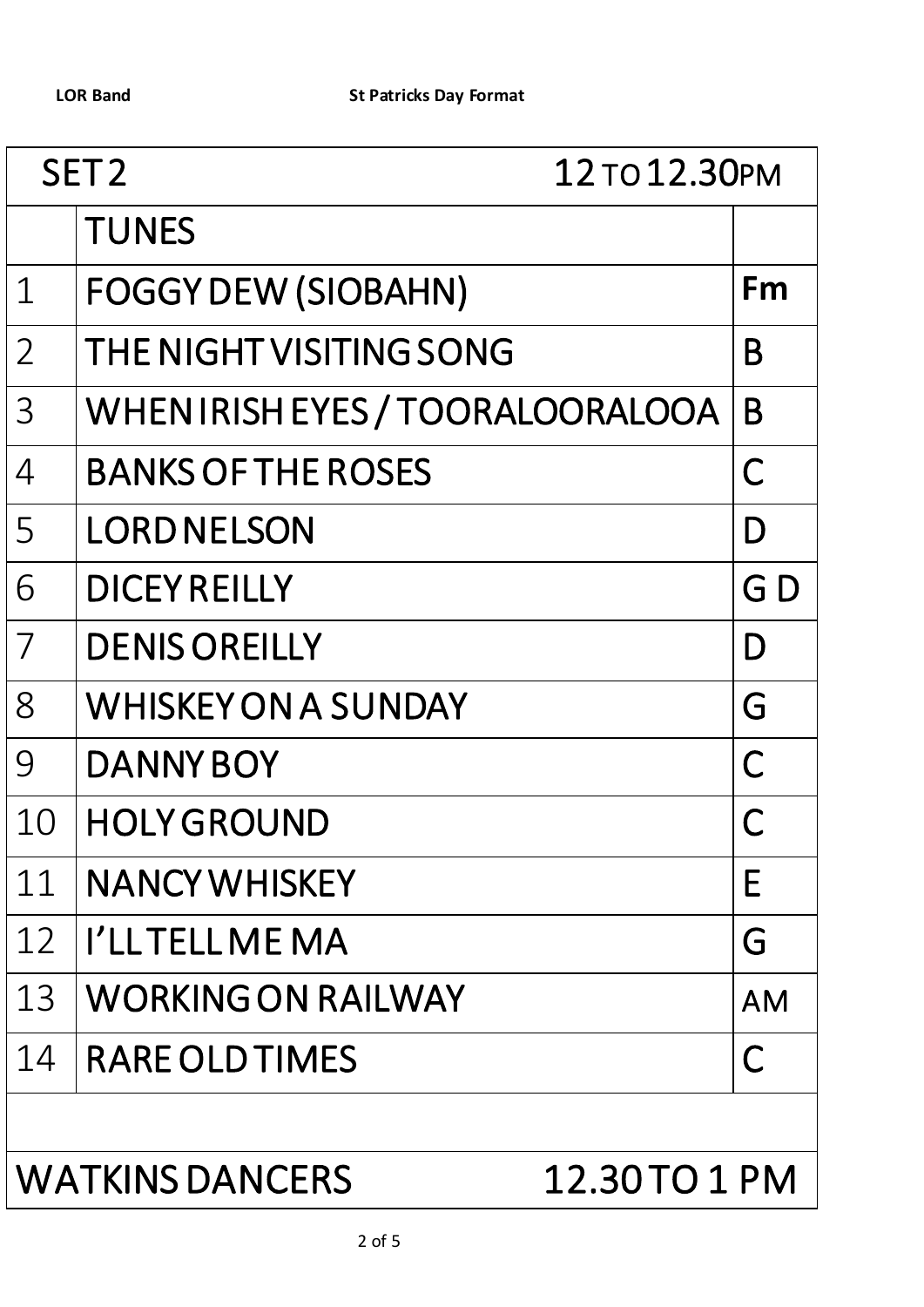| SET <sub>2</sub><br>12 TO 12.30PM      |                                 |           |
|----------------------------------------|---------------------------------|-----------|
|                                        | <b>TUNES</b>                    |           |
| $\mathbf 1$                            | <b>FOGGY DEW (SIOBAHN)</b>      | Fm        |
| $\overline{2}$                         | THE NIGHT VISITING SONG         | B         |
| $\overline{3}$                         | WHENIRISH EYES / TOORALOORALOOA | B         |
| $\overline{4}$                         | <b>BANKS OF THE ROSES</b>       | C         |
| 5                                      | <b>LORD NELSON</b>              | D         |
| 6                                      | <b>DICEY REILLY</b>             | G D       |
| $\overline{7}$                         | <b>DENIS OREILLY</b>            | D         |
| 8                                      | <b>WHISKEY ON A SUNDAY</b>      | G         |
| 9                                      | <b>DANNY BOY</b>                | C         |
| 10                                     | <b>HOLY GROUND</b>              |           |
| 11                                     | <b>NANCY WHISKEY</b>            | Е         |
| 12                                     | I'LLTELLME MA                   | G         |
| 13                                     | <b>WORKING ON RAILWAY</b>       | <b>AM</b> |
| 14                                     | <b>RARE OLD TIMES</b>           | C         |
|                                        |                                 |           |
| <b>WATKINS DANCERS</b><br>12.30TO 1 PM |                                 |           |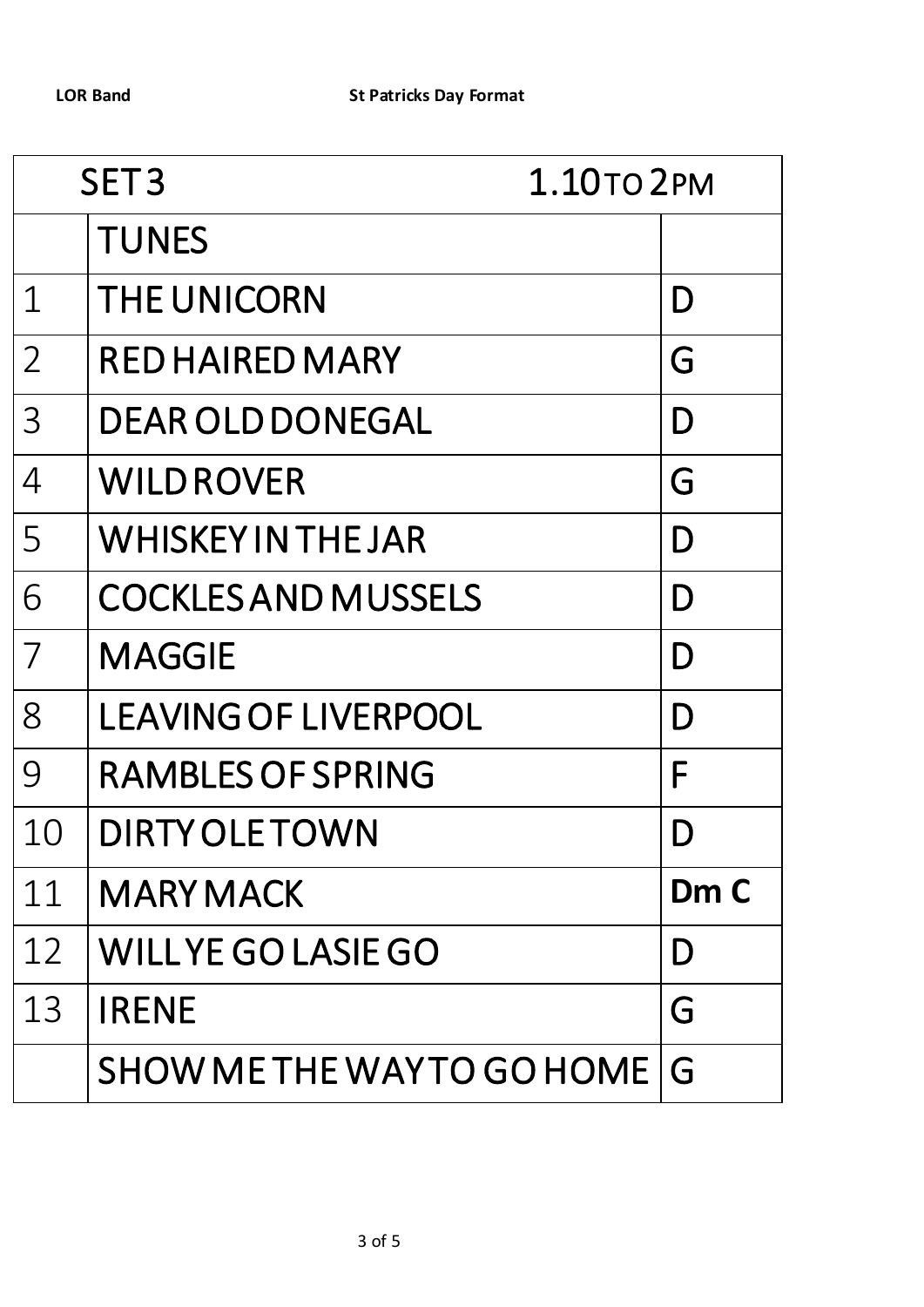| SET <sub>3</sub><br>1.10TO 2PM |                             |      |
|--------------------------------|-----------------------------|------|
|                                | <b>TUNES</b>                |      |
| $\mathbf 1$                    | <b>THE UNICORN</b>          | D    |
| $\overline{2}$                 | <b>RED HAIRED MARY</b>      | G    |
| $\overline{3}$                 | <b>DEAR OLD DONEGAL</b>     | D    |
| $\overline{4}$                 | <b>WILD ROVER</b>           | G    |
| 5                              | <b>WHISKEYIN THE JAR</b>    | D    |
| 6                              | <b>COCKLES AND MUSSELS</b>  | D    |
| $\overline{7}$                 | <b>MAGGIE</b>               | D    |
| 8                              | <b>LEAVING OF LIVERPOOL</b> | D    |
| 9                              | <b>RAMBLES OF SPRING</b>    | F    |
| 10                             | <b>DIRTY OLE TOWN</b>       | D    |
| 11                             | <b>MARY MACK</b>            | Dm C |
| 12                             | <b>WILLYE GO LASIE GO</b>   | D    |
| 13                             | <b>IRENE</b>                | G    |
|                                | SHOW ME THE WAYTO GO HOME   | G    |